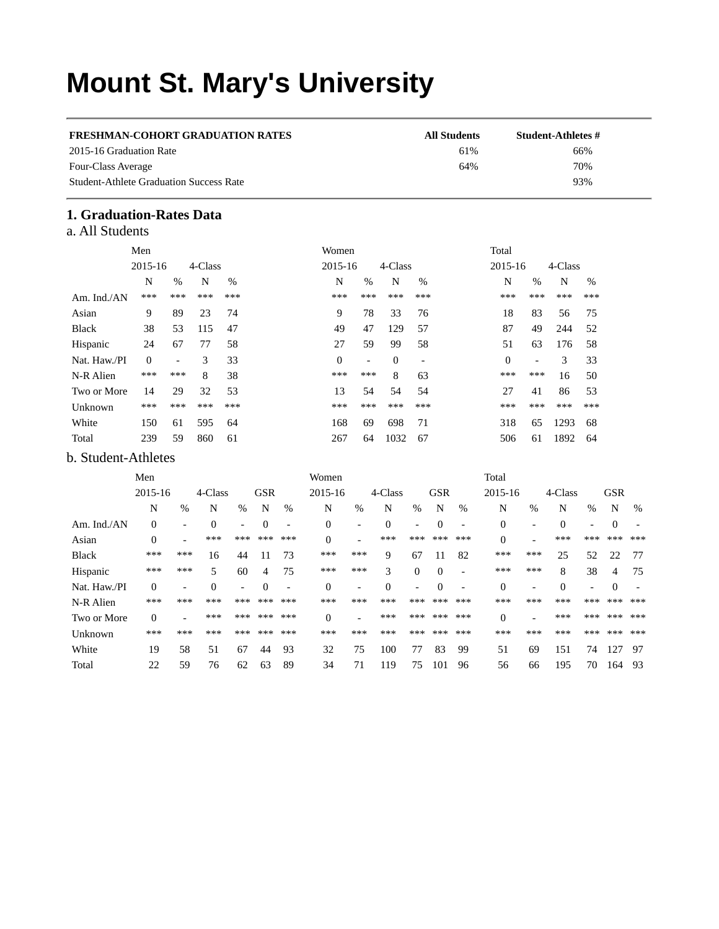# **Mount St. Mary's University**

| <b>FRESHMAN-COHORT GRADUATION RATES</b>        | <b>All Students</b> | Student-Athletes # |
|------------------------------------------------|---------------------|--------------------|
| 2015-16 Graduation Rate                        | 61%                 | 66%                |
| Four-Class Average                             | 64%                 | 70%                |
| <b>Student-Athlete Graduation Success Rate</b> |                     | 93%                |

# **1. Graduation-Rates Data**

|  | a. All Students |
|--|-----------------|
|  |                 |

|              | Men          |      |         |               | Women        |                |          |       | Total        |                          |         |     |
|--------------|--------------|------|---------|---------------|--------------|----------------|----------|-------|--------------|--------------------------|---------|-----|
|              | 2015-16      |      | 4-Class |               | 2015-16      |                | 4-Class  |       | 2015-16      |                          | 4-Class |     |
|              | N            | $\%$ | N       | $\frac{0}{0}$ | N            | $\%$           | N        | $\%$  | N            | $\%$                     | N       | %   |
| Am. Ind./AN  | ***          | ***  | ***     | ***           | ***          | ***            | ***      | ***   | ***          | ***                      | ***     | *** |
| Asian        | 9            | 89   | 23      | 74            | 9            | 78             | 33       | 76    | 18           | 83                       | 56      | 75  |
| <b>Black</b> | 38           | 53   | 115     | 47            | 49           | 47             | 129      | 57    | 87           | 49                       | 244     | 52  |
| Hispanic     | 24           | 67   | 77      | 58            | 27           | 59             | 99       | 58    | 51           | 63                       | 176     | 58  |
| Nat. Haw./PI | $\mathbf{0}$ | ۰    | 3       | 33            | $\mathbf{0}$ | $\overline{a}$ | $\theta$ |       | $\mathbf{0}$ | $\overline{\phantom{a}}$ | 3       | 33  |
| N-R Alien    | ***          | ***  | 8       | 38            | ***          | ***            | 8        | 63    | ***          | ***                      | 16      | 50  |
| Two or More  | 14           | 29   | 32      | 53            | 13           | 54             | 54       | 54    | 27           | 41                       | 86      | 53  |
| Unknown      | ***          | ***  | ***     | ***           | ***          | ***            | ***      | $***$ | ***          | ***                      | ***     | *** |
| White        | 150          | 61   | 595     | 64            | 168          | 69             | 698      | 71    | 318          | 65                       | 1293    | 68  |
| Total        | 239          | 59   | 860     | 61            | 267          | 64             | 1032     | 67    | 506          | 61                       | 1892    | 64  |

## b. Student-Athletes

|              | Men              |                          |          |                          |            |                          | Women        |                          |          |                          |            |                          | Total            |                          |          |                          |            |                          |
|--------------|------------------|--------------------------|----------|--------------------------|------------|--------------------------|--------------|--------------------------|----------|--------------------------|------------|--------------------------|------------------|--------------------------|----------|--------------------------|------------|--------------------------|
|              | 2015-16          |                          | 4-Class  |                          | <b>GSR</b> |                          | 2015-16      |                          | 4-Class  |                          | <b>GSR</b> |                          | 2015-16          |                          | 4-Class  |                          | <b>GSR</b> |                          |
|              | N                | $\%$                     | N        | $\%$                     | N          | %                        | N            | $\%$                     | N        | $\%$                     | N          | %                        | N                | $\frac{0}{0}$            | N        | $\%$                     | N          | $\%$                     |
| Am. Ind./AN  | $\Omega$         | $\overline{\phantom{0}}$ | $\theta$ | $\overline{\phantom{a}}$ | $\Omega$   | $\overline{\phantom{a}}$ | $\mathbf{0}$ | $\overline{\phantom{a}}$ | $\Omega$ | $\overline{\phantom{0}}$ | $\Omega$   | ٠                        | 0                | $\overline{a}$           | $\Omega$ | $\overline{\phantom{a}}$ | $\Omega$   |                          |
| Asian        | $\theta$         |                          | ***      | ***                      | ***        | ***                      | $\theta$     |                          | ***      | ***                      | ***        | ***                      | 0                | $\overline{\phantom{0}}$ | ***      | ***                      | $***$      | $***$                    |
| <b>Black</b> | ***              | ***                      | 16       | 44                       | 11         | 73                       | ***          | ***                      | 9        | 67                       | 11         | 82                       | ***              | ***                      | 25       | 52                       | 22         | 77                       |
| Hispanic     | ***              | ***                      | 5        | 60                       | 4          | 75                       | ***          | ***                      | 3        | $\theta$                 | $\Omega$   |                          | $***$            | ***                      | 8        | 38                       | 4          | 75                       |
| Nat. Haw./PI | $\Omega$         | $\overline{\phantom{0}}$ | $\Omega$ | $\overline{\phantom{a}}$ | $\Omega$   | $\overline{\phantom{a}}$ | $\Omega$     | $\overline{\phantom{a}}$ | $\theta$ | $\overline{\phantom{0}}$ | $\Omega$   | $\overline{\phantom{0}}$ | $\boldsymbol{0}$ | $\overline{\phantom{0}}$ | $\Omega$ | $\overline{\phantom{a}}$ | $\Omega$   | $\overline{\phantom{0}}$ |
| N-R Alien    | ***              | $***$                    | ***      | ***                      | ***        | ***                      | ***          | ***                      | ***      | ***                      | ***        | ***                      | ***              | ***                      | ***      | ***                      | $***$      | ***                      |
| Two or More  | $\boldsymbol{0}$ |                          | ***      | ***                      | $***$      | ***                      | $\theta$     |                          | ***      | ***                      | $***$      | ***                      | $\mathbf{0}$     |                          | ***      | ***                      | $***$      | ***                      |
| Unknown      | ***              | ***                      | ***      | ***                      | ***        | ***                      | ***          | ***                      | ***      | ***                      | ***        | ***                      | ***              | ***                      | ***      | ***                      | $***$      | ***                      |
| White        | 19               | 58                       | 51       | 67                       | 44         | 93                       | 32           | 75                       | 100      | 77                       | 83         | 99                       | 51               | 69                       | 151      | 74                       | 127        | 97                       |
| Total        | 22               | 59                       | 76       | 62                       | 63         | 89                       | 34           | 71                       | 119      | 75                       | 101        | 96                       | 56               | 66                       | 195      | 70                       | 164        | 93                       |
|              |                  |                          |          |                          |            |                          |              |                          |          |                          |            |                          |                  |                          |          |                          |            |                          |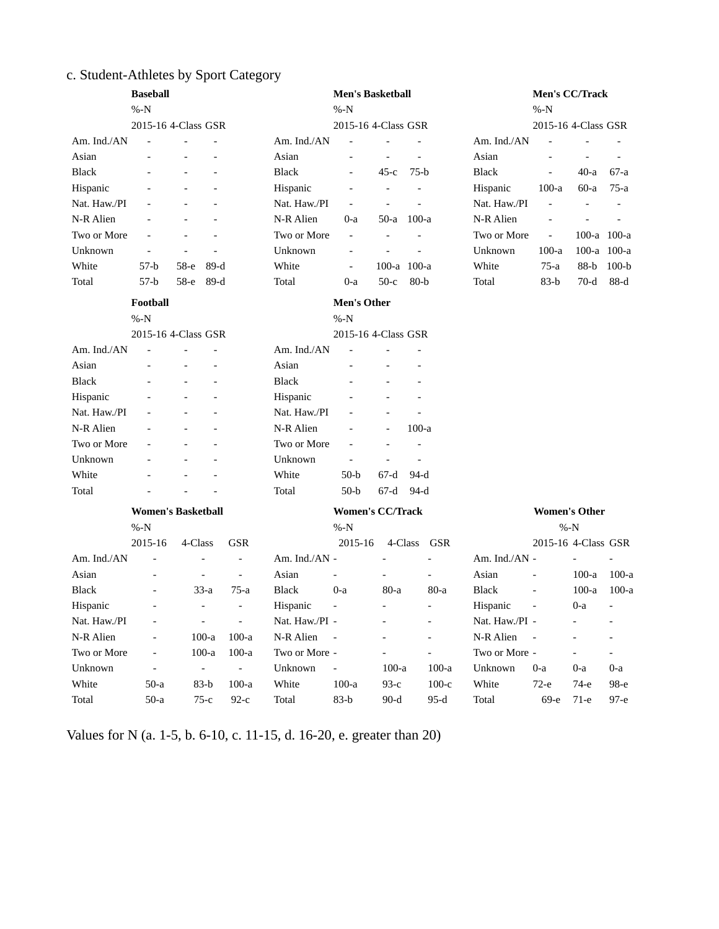# c. Student-Athletes by Sport Category

| <b>Baseball</b> |                          |                              |                          | <b>Men's Basketball</b> |                          |                          |         |                          | Men's CC/Track   |                          |                          |                          |
|-----------------|--------------------------|------------------------------|--------------------------|-------------------------|--------------------------|--------------------------|---------|--------------------------|------------------|--------------------------|--------------------------|--------------------------|
| %N              |                          |                              |                          | $% -N$                  |                          | %N                       |         |                          |                  |                          |                          |                          |
|                 |                          | 2015-16 4-Class GSR          |                          |                         | 2015-16 4-Class GSR      |                          |         |                          |                  | 2015-16 4-Class GSR      |                          |                          |
| Am. Ind./AN     |                          |                              |                          | Am. Ind./AN             |                          |                          |         |                          | Am. Ind./AN      |                          |                          |                          |
| Asian           |                          |                              |                          | Asian                   |                          | $\overline{a}$           |         |                          | Asian            |                          |                          |                          |
| <b>Black</b>    |                          |                              |                          | <b>Black</b>            |                          | $45-c$                   | $75-b$  |                          | <b>Black</b>     |                          | $40-a$                   | 67-a                     |
| Hispanic        |                          |                              |                          | Hispanic                |                          |                          |         |                          | Hispanic         | $100-a$                  | $60-a$                   | 75-a                     |
| Nat. Haw./PI    |                          |                              |                          | Nat. Haw./PI            | $\overline{\phantom{0}}$ |                          |         |                          | Nat. Haw./PI     | L,                       | L,                       |                          |
| N-R Alien       |                          |                              |                          | N-R Alien               | 0-a                      | $50-a$                   | $100-a$ |                          | N-R Alien        |                          |                          |                          |
| Two or More     |                          |                              |                          | Two or More             | $\overline{\phantom{a}}$ |                          |         |                          | Two or More      | $\overline{\phantom{a}}$ | $100-a$                  | 100-a                    |
| Unknown         |                          |                              |                          | Unknown                 |                          |                          |         |                          | Unknown          | $100-a$                  | $100-a$                  | $100-a$                  |
| White           | $57-b$                   | 58-е                         | $89-d$                   | White                   | $\overline{\phantom{a}}$ | 100-a 100-a              |         |                          | White            | $75-a$                   | $88-b$                   | $100-b$                  |
| Total           | $57-b$                   | 58-е                         | $89-d$                   | Total                   | 0-a                      | $50-c$                   | $80-b$  |                          | Total            | $83-b$                   | $70-d$                   | $88-d$                   |
|                 | <b>Football</b>          |                              |                          |                         | <b>Men's Other</b>       |                          |         |                          |                  |                          |                          |                          |
|                 | %N                       |                              |                          |                         | %N                       |                          |         |                          |                  |                          |                          |                          |
|                 |                          | 2015-16 4-Class GSR          |                          |                         | 2015-16 4-Class GSR      |                          |         |                          |                  |                          |                          |                          |
| Am. Ind./AN     |                          |                              |                          | Am. Ind./AN             |                          |                          |         |                          |                  |                          |                          |                          |
| Asian           |                          |                              |                          | Asian                   |                          |                          |         |                          |                  |                          |                          |                          |
| <b>Black</b>    |                          |                              |                          | <b>Black</b>            |                          |                          |         |                          |                  |                          |                          |                          |
| Hispanic        |                          |                              |                          | Hispanic                |                          |                          |         |                          |                  |                          |                          |                          |
| Nat. Haw./PI    |                          |                              |                          | Nat. Haw./PI            |                          |                          |         |                          |                  |                          |                          |                          |
| N-R Alien       |                          |                              |                          | N-R Alien               |                          |                          | $100-a$ |                          |                  |                          |                          |                          |
| Two or More     |                          |                              |                          | Two or More             |                          |                          |         |                          |                  |                          |                          |                          |
| Unknown         |                          |                              |                          | Unknown                 | $\overline{a}$           |                          |         |                          |                  |                          |                          |                          |
| White           |                          |                              |                          | White                   | $50-b$                   | $67-d$                   | $94-d$  |                          |                  |                          |                          |                          |
| Total           |                          |                              |                          | Total                   | $50-b$                   | $67-d$                   | $94-d$  |                          |                  |                          |                          |                          |
|                 |                          | <b>Women's Basketball</b>    |                          |                         | <b>Women's CC/Track</b>  |                          |         |                          |                  | <b>Women's Other</b>     |                          |                          |
|                 | %N                       |                              |                          |                         | %N                       |                          |         |                          |                  | %N                       |                          |                          |
|                 | 2015-16                  | 4-Class                      | GSR                      |                         | 2015-16                  | 4-Class                  |         | GSR                      |                  | 2015-16 4-Class GSR      |                          |                          |
| Am. Ind./ $AN$  |                          |                              | $\overline{\phantom{a}}$ | Am. Ind./AN -           |                          |                          |         |                          | Am. Ind. $/AN -$ |                          |                          |                          |
| Asian           |                          | $\qquad \qquad \blacksquare$ | $\overline{\phantom{a}}$ | Asian                   |                          |                          |         |                          | Asian            |                          | $100-a$                  | $100-a$                  |
| <b>Black</b>    | $\overline{\phantom{a}}$ | $33-a$                       | 75-a                     | <b>Black</b>            | 0-a                      | $80-a$                   |         | $80-a$                   | <b>Black</b>     | $\overline{a}$           | $100-a$                  | $100-a$                  |
| Hispanic        | $\overline{\phantom{a}}$ | $\overline{\phantom{a}}$     | $\overline{\phantom{a}}$ | Hispanic                | $\overline{\phantom{a}}$ | $\overline{a}$           |         | $\overline{\phantom{0}}$ | Hispanic         | $\overline{\phantom{a}}$ | 0-a                      | $\overline{\phantom{a}}$ |
| Nat. Haw./PI    |                          | $\qquad \qquad -$            | $\overline{\phantom{a}}$ | Nat. Haw./PI -          |                          |                          |         |                          | Nat. Haw./PI -   |                          |                          |                          |
| N-R Alien       |                          | $100-a$                      | $100-a$                  | N-R Alien               |                          |                          |         |                          | N-R Alien        |                          |                          |                          |
| Two or More     | $\overline{\phantom{0}}$ | $100-a$                      | $100-a$                  | Two or More -           |                          | $\overline{\phantom{0}}$ |         | $\qquad \qquad -$        | Two or More -    |                          | $\overline{\phantom{0}}$ |                          |
| Unknown         | $\overline{\phantom{0}}$ | $\omega$                     | $\omega_{\rm c}$         | Unknown                 | $\overline{\phantom{a}}$ | $100-a$                  |         | $100-a$                  | Unknown          | $0-a$                    | 0-a                      | 0-a                      |
| White           | $50-a$                   | 83-b                         | $100-a$                  | White                   | $100-a$                  | $93-c$                   |         | $100-c$                  | White            | 72-е                     | 74-е                     | 98-е                     |
| Total           | $50-a$                   | $75-c$                       | $92-c$                   | Total                   | $83-b$                   | $90-d$                   |         | $95-d$                   | Total            | 69-е                     | $71-e$                   | $97 - e$                 |

Values for N (a. 1-5, b. 6-10, c. 11-15, d. 16-20, e. greater than 20)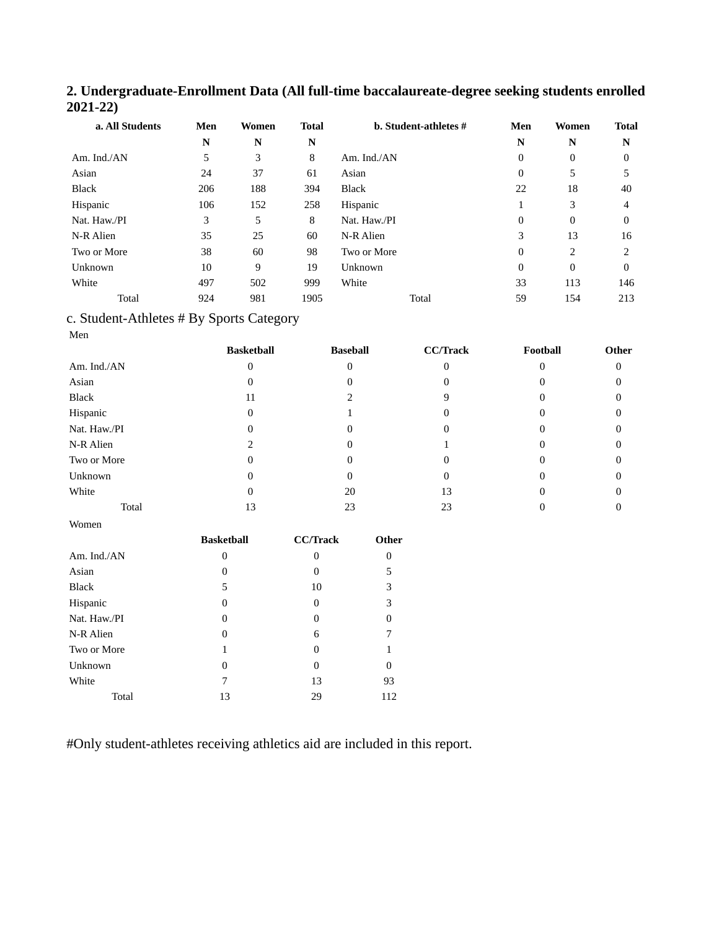### **2. Undergraduate-Enrollment Data (All full-time baccalaureate-degree seeking students enrolled 2021-22)**

| a. All Students | Men | Women | <b>Total</b> | <b>b.</b> Student-athletes # | Men      | Women        | <b>Total</b> |
|-----------------|-----|-------|--------------|------------------------------|----------|--------------|--------------|
|                 | N   | N     | N            |                              | N        | N            | N            |
| Am. Ind./AN     | 5   | 3     | 8            | Am. Ind./AN                  | 0        | 0            | 0            |
| Asian           | 24  | 37    | 61           | Asian                        | 0        | 5            | 5            |
| <b>Black</b>    | 206 | 188   | 394          | <b>Black</b>                 | 22       | 18           | 40           |
| Hispanic        | 106 | 152   | 258          | Hispanic                     |          | 3            | 4            |
| Nat. Haw./PI    | 3   | 5     | 8            | Nat. Haw./PI                 | $\Omega$ | $\mathbf{0}$ | $\Omega$     |
| N-R Alien       | 35  | 25    | 60           | N-R Alien                    | 3        | 13           | 16           |
| Two or More     | 38  | 60    | 98           | Two or More                  | $\theta$ | 2            | ን            |
| Unknown         | 10  | 9     | 19           | Unknown                      | 0        | $\mathbf{0}$ | $\Omega$     |
| White           | 497 | 502   | 999          | White                        | 33       | 113          | 146          |
| Total           | 924 | 981   | 1905         | Total                        | 59       | 154          | 213          |

# c. Student-Athletes # By Sports Category

Men

Women

|              | <b>Basketball</b> | <b>Baseball</b> | <b>CC/Track</b> | Football | Other |
|--------------|-------------------|-----------------|-----------------|----------|-------|
| Am. Ind./AN  |                   |                 |                 |          |       |
| Asian        |                   |                 |                 |          |       |
| Black        | 11                |                 |                 |          |       |
| Hispanic     |                   |                 |                 |          |       |
| Nat. Haw./PI |                   |                 |                 |          |       |
| N-R Alien    |                   |                 |                 |          |       |
| Two or More  |                   |                 |                 |          |       |
| Unknown      |                   |                 |                 |          |       |
| White        |                   | 20              | 13              |          |       |
| Total        | 13                | 23              | 23              |          |       |

|              | <b>Basketball</b> | <b>CC/Track</b> | Other    |
|--------------|-------------------|-----------------|----------|
| Am. Ind./AN  | $\theta$          | 0               | $\theta$ |
| Asian        | $\theta$          | 0               | 5        |
| <b>Black</b> | 5                 | 10              | 3        |
| Hispanic     | 0                 | $\Omega$        | 3        |
| Nat. Haw./PI | 0                 | 0               | 0        |
| N-R Alien    | $\theta$          | 6               | 7        |
| Two or More  | 1                 | $\theta$        | 1        |
| Unknown      | $\theta$          | 0               | 0        |
| White        | 7                 | 13              | 93       |
| Total        | 13                | 29              | 112      |

#Only student-athletes receiving athletics aid are included in this report.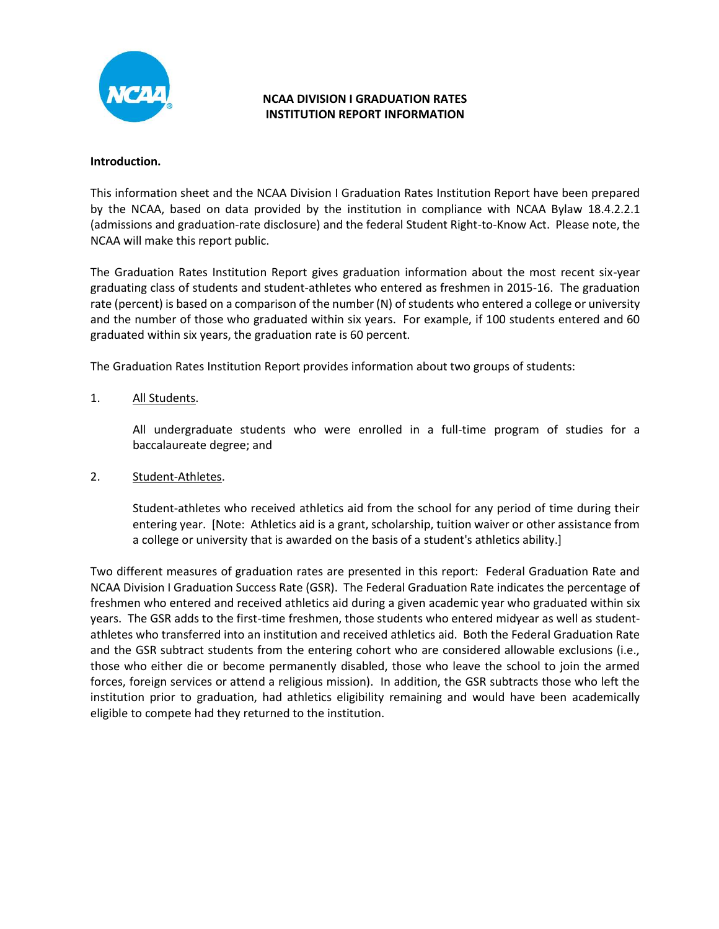

## NCAA DIVISION I GRADUATION RATES INSTITUTION REPORT INFORMATION

#### Introduction.

This information sheet and the NCAA Division I Graduation Rates Institution Report have been prepared by the NCAA, based on data provided by the institution in compliance with NCAA Bylaw 18.4.2.2.1 (admissions and graduation-rate disclosure) and the federal Student Right-to-Know Act. Please note, the NCAA will make this report public.

The Graduation Rates Institution Report gives graduation information about the most recent six-year graduating class of students and student-athletes who entered as freshmen in 2015-16. The graduation rate (percent) is based on a comparison of the number (N) of students who entered a college or university and the number of those who graduated within six years. For example, if 100 students entered and 60 graduated within six years, the graduation rate is 60 percent.

The Graduation Rates Institution Report provides information about two groups of students:

#### 1. All Students.

All undergraduate students who were enrolled in a full-time program of studies for a baccalaureate degree; and

#### 2. Student-Athletes.

Student-athletes who received athletics aid from the school for any period of time during their entering year. [Note: Athletics aid is a grant, scholarship, tuition waiver or other assistance from a college or university that is awarded on the basis of a student's athletics ability.]

Two different measures of graduation rates are presented in this report: Federal Graduation Rate and NCAA Division I Graduation Success Rate (GSR). The Federal Graduation Rate indicates the percentage of freshmen who entered and received athletics aid during a given academic year who graduated within six years. The GSR adds to the first-time freshmen, those students who entered midyear as well as studentathletes who transferred into an institution and received athletics aid. Both the Federal Graduation Rate and the GSR subtract students from the entering cohort who are considered allowable exclusions (i.e., those who either die or become permanently disabled, those who leave the school to join the armed forces, foreign services or attend a religious mission). In addition, the GSR subtracts those who left the institution prior to graduation, had athletics eligibility remaining and would have been academically eligible to compete had they returned to the institution.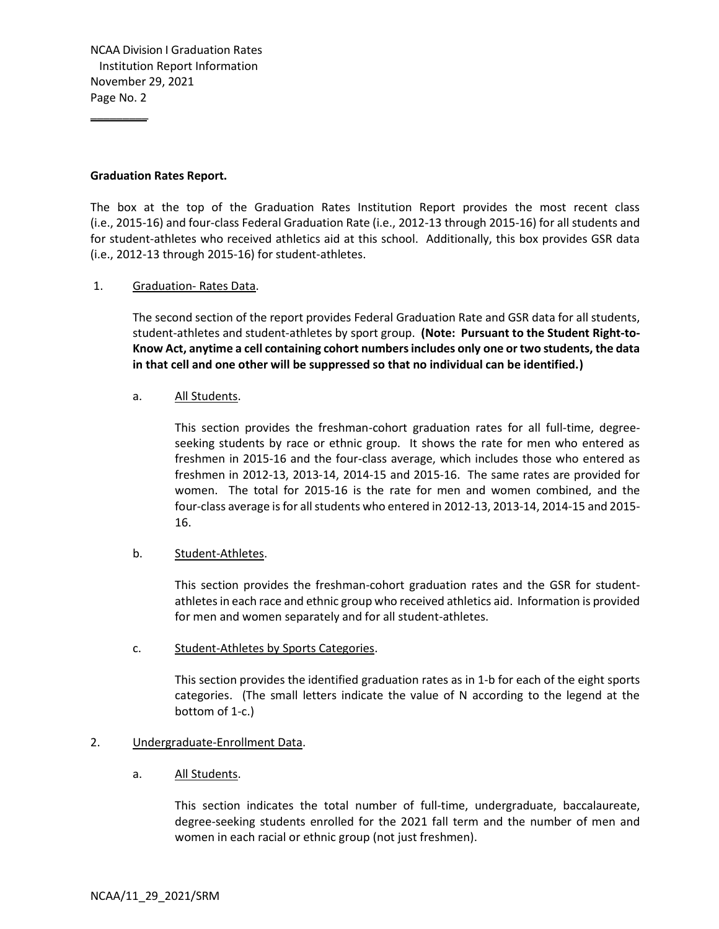NCAA Division I Graduation Rates CAA Division I Graduation Rates<br>Institution Report Information<br>ovember 29, 2021<br>age No. 2 November 29, 2021 Page No. 2

#### Graduation Rates Report.

The box at the top of the Graduation Rates Institution Report provides the most recent class (i.e., 2015-16) and four-class Federal Graduation Rate (i.e., 2012-13 through 2015-16) for all students and for student-athletes who received athletics aid at this school. Additionally, this box provides GSR data (i.e., 2012-13 through 2015-16) for student-athletes.

#### 1. Graduation- Rates Data.

 The second section of the report provides Federal Graduation Rate and GSR data for all students, student-athletes and student-athletes by sport group. (Note: Pursuant to the Student Right-to-Know Act, anytime a cell containing cohort numbers includes only one or two students, the data in that cell and one other will be suppressed so that no individual can be identified.)

#### a. All Students.

 This section provides the freshman-cohort graduation rates for all full-time, degreeseeking students by race or ethnic group. It shows the rate for men who entered as freshmen in 2015-16 and the four-class average, which includes those who entered as freshmen in 2012-13, 2013-14, 2014-15 and 2015-16. The same rates are provided for women. The total for 2015-16 is the rate for men and women combined, and the four-class average is for all students who entered in 2012-13, 2013-14, 2014-15 and 2015- 16.

#### b. Student-Athletes.

 This section provides the freshman-cohort graduation rates and the GSR for studentathletes in each race and ethnic group who received athletics aid. Information is provided for men and women separately and for all student-athletes.

#### c. Student-Athletes by Sports Categories.

 This section provides the identified graduation rates as in 1-b for each of the eight sports categories. (The small letters indicate the value of N according to the legend at the bottom of 1-c.)

#### 2. Undergraduate-Enrollment Data.

#### a. All Students.

 This section indicates the total number of full-time, undergraduate, baccalaureate, degree-seeking students enrolled for the 2021 fall term and the number of men and women in each racial or ethnic group (not just freshmen).